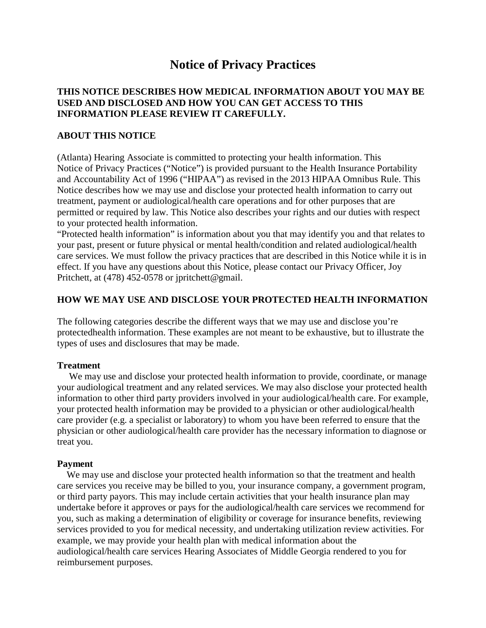# **Notice of Privacy Practices**

### **THIS NOTICE DESCRIBES HOW MEDICAL INFORMATION ABOUT YOU MAY BE USED AND DISCLOSED AND HOW YOU CAN GET ACCESS TO THIS INFORMATION PLEASE REVIEW IT CAREFULLY.**

### **ABOUT THIS NOTICE**

(Atlanta) Hearing Associate is committed to protecting your health information. This Notice of Privacy Practices ("Notice") is provided pursuant to the Health Insurance Portability and Accountability Act of 1996 ("HIPAA") as revised in the 2013 HIPAA Omnibus Rule. This Notice describes how we may use and disclose your protected health information to carry out treatment, payment or audiological/health care operations and for other purposes that are permitted or required by law. This Notice also describes your rights and our duties with respect to your protected health information.

"Protected health information" is information about you that may identify you and that relates to your past, present or future physical or mental health/condition and related audiological/health care services. We must follow the privacy practices that are described in this Notice while it is in effect. If you have any questions about this Notice, please contact our Privacy Officer, Joy Pritchett, at (478) 452-0578 or jpritchett@gmail.

### **HOW WE MAY USE AND DISCLOSE YOUR PROTECTED HEALTH INFORMATION**

The following categories describe the different ways that we may use and disclose you're protectedhealth information. These examples are not meant to be exhaustive, but to illustrate the types of uses and disclosures that may be made.

### **Treatment**

 We may use and disclose your protected health information to provide, coordinate, or manage your audiological treatment and any related services. We may also disclose your protected health information to other third party providers involved in your audiological/health care. For example, your protected health information may be provided to a physician or other audiological/health care provider (e.g. a specialist or laboratory) to whom you have been referred to ensure that the physician or other audiological/health care provider has the necessary information to diagnose or treat you.

### **Payment**

 We may use and disclose your protected health information so that the treatment and health care services you receive may be billed to you, your insurance company, a government program, or third party payors. This may include certain activities that your health insurance plan may undertake before it approves or pays for the audiological/health care services we recommend for you, such as making a determination of eligibility or coverage for insurance benefits, reviewing services provided to you for medical necessity, and undertaking utilization review activities. For example, we may provide your health plan with medical information about the audiological/health care services Hearing Associates of Middle Georgia rendered to you for reimbursement purposes.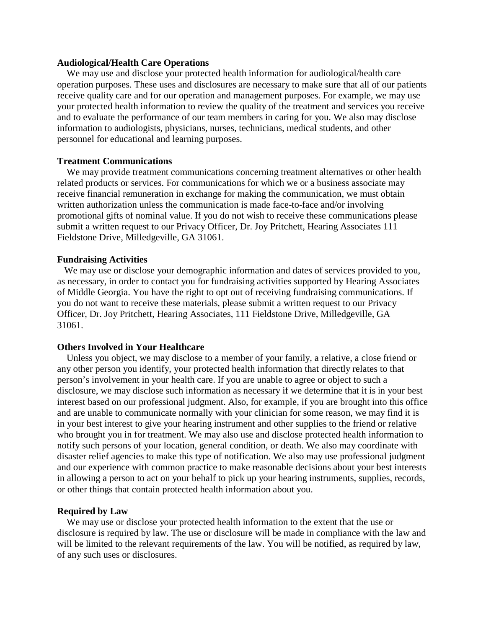### **Audiological/Health Care Operations**

 We may use and disclose your protected health information for audiological/health care operation purposes. These uses and disclosures are necessary to make sure that all of our patients receive quality care and for our operation and management purposes. For example, we may use your protected health information to review the quality of the treatment and services you receive and to evaluate the performance of our team members in caring for you. We also may disclose information to audiologists, physicians, nurses, technicians, medical students, and other personnel for educational and learning purposes.

### **Treatment Communications**

 We may provide treatment communications concerning treatment alternatives or other health related products or services. For communications for which we or a business associate may receive financial remuneration in exchange for making the communication, we must obtain written authorization unless the communication is made face-to-face and/or involving promotional gifts of nominal value. If you do not wish to receive these communications please submit a written request to our Privacy Officer, Dr. Joy Pritchett, Hearing Associates 111 Fieldstone Drive, Milledgeville, GA 31061.

#### **Fundraising Activities**

 We may use or disclose your demographic information and dates of services provided to you, as necessary, in order to contact you for fundraising activities supported by Hearing Associates of Middle Georgia. You have the right to opt out of receiving fundraising communications. If you do not want to receive these materials, please submit a written request to our Privacy Officer, Dr. Joy Pritchett, Hearing Associates, 111 Fieldstone Drive, Milledgeville, GA 31061.

#### **Others Involved in Your Healthcare**

 Unless you object, we may disclose to a member of your family, a relative, a close friend or any other person you identify, your protected health information that directly relates to that person's involvement in your health care. If you are unable to agree or object to such a disclosure, we may disclose such information as necessary if we determine that it is in your best interest based on our professional judgment. Also, for example, if you are brought into this office and are unable to communicate normally with your clinician for some reason, we may find it is in your best interest to give your hearing instrument and other supplies to the friend or relative who brought you in for treatment. We may also use and disclose protected health information to notify such persons of your location, general condition, or death. We also may coordinate with disaster relief agencies to make this type of notification. We also may use professional judgment and our experience with common practice to make reasonable decisions about your best interests in allowing a person to act on your behalf to pick up your hearing instruments, supplies, records, or other things that contain protected health information about you.

### **Required by Law**

 We may use or disclose your protected health information to the extent that the use or disclosure is required by law. The use or disclosure will be made in compliance with the law and will be limited to the relevant requirements of the law. You will be notified, as required by law, of any such uses or disclosures.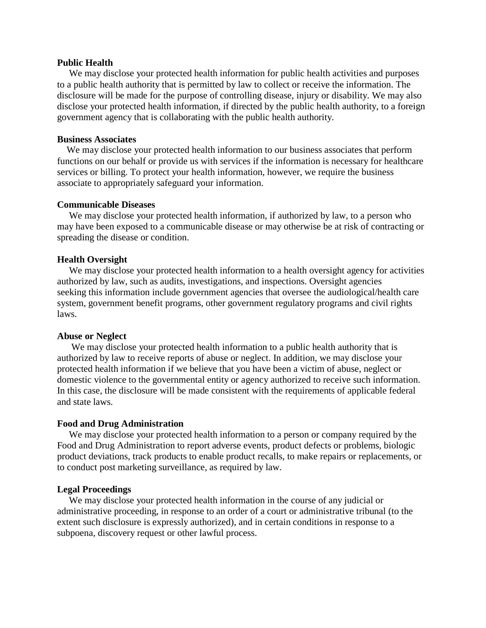### **Public Health**

 We may disclose your protected health information for public health activities and purposes to a public health authority that is permitted by law to collect or receive the information. The disclosure will be made for the purpose of controlling disease, injury or disability. We may also disclose your protected health information, if directed by the public health authority, to a foreign government agency that is collaborating with the public health authority.

### **Business Associates**

 We may disclose your protected health information to our business associates that perform functions on our behalf or provide us with services if the information is necessary for healthcare services or billing. To protect your health information, however, we require the business associate to appropriately safeguard your information.

### **Communicable Diseases**

 We may disclose your protected health information, if authorized by law, to a person who may have been exposed to a communicable disease or may otherwise be at risk of contracting or spreading the disease or condition.

### **Health Oversight**

 We may disclose your protected health information to a health oversight agency for activities authorized by law, such as audits, investigations, and inspections. Oversight agencies seeking this information include government agencies that oversee the audiological/health care system, government benefit programs, other government regulatory programs and civil rights laws.

### **Abuse or Neglect**

 We may disclose your protected health information to a public health authority that is authorized by law to receive reports of abuse or neglect. In addition, we may disclose your protected health information if we believe that you have been a victim of abuse, neglect or domestic violence to the governmental entity or agency authorized to receive such information. In this case, the disclosure will be made consistent with the requirements of applicable federal and state laws.

#### **Food and Drug Administration**

 We may disclose your protected health information to a person or company required by the Food and Drug Administration to report adverse events, product defects or problems, biologic product deviations, track products to enable product recalls, to make repairs or replacements, or to conduct post marketing surveillance, as required by law.

#### **Legal Proceedings**

 We may disclose your protected health information in the course of any judicial or administrative proceeding, in response to an order of a court or administrative tribunal (to the extent such disclosure is expressly authorized), and in certain conditions in response to a subpoena, discovery request or other lawful process.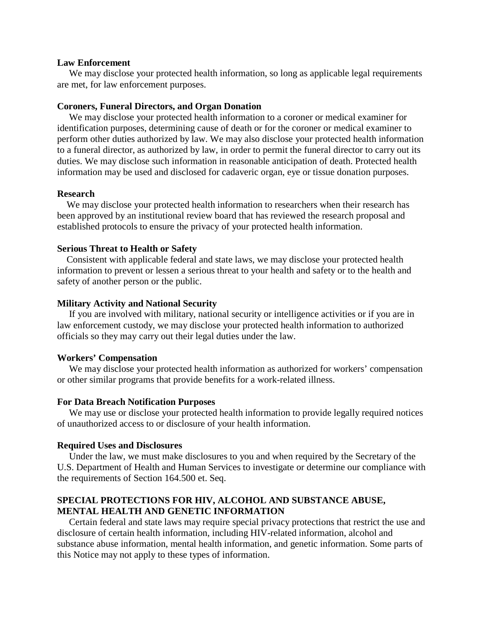### **Law Enforcement**

 We may disclose your protected health information, so long as applicable legal requirements are met, for law enforcement purposes.

### **Coroners, Funeral Directors, and Organ Donation**

 We may disclose your protected health information to a coroner or medical examiner for identification purposes, determining cause of death or for the coroner or medical examiner to perform other duties authorized by law. We may also disclose your protected health information to a funeral director, as authorized by law, in order to permit the funeral director to carry out its duties. We may disclose such information in reasonable anticipation of death. Protected health information may be used and disclosed for cadaveric organ, eye or tissue donation purposes.

### **Research**

 We may disclose your protected health information to researchers when their research has been approved by an institutional review board that has reviewed the research proposal and established protocols to ensure the privacy of your protected health information.

### **Serious Threat to Health or Safety**

 Consistent with applicable federal and state laws, we may disclose your protected health information to prevent or lessen a serious threat to your health and safety or to the health and safety of another person or the public.

### **Military Activity and National Security**

 If you are involved with military, national security or intelligence activities or if you are in law enforcement custody, we may disclose your protected health information to authorized officials so they may carry out their legal duties under the law.

### **Workers' Compensation**

 We may disclose your protected health information as authorized for workers' compensation or other similar programs that provide benefits for a work-related illness.

#### **For Data Breach Notification Purposes**

 We may use or disclose your protected health information to provide legally required notices of unauthorized access to or disclosure of your health information.

#### **Required Uses and Disclosures**

 Under the law, we must make disclosures to you and when required by the Secretary of the U.S. Department of Health and Human Services to investigate or determine our compliance with the requirements of Section 164.500 et. Seq.

### **SPECIAL PROTECTIONS FOR HIV, ALCOHOL AND SUBSTANCE ABUSE, MENTAL HEALTH AND GENETIC INFORMATION**

 Certain federal and state laws may require special privacy protections that restrict the use and disclosure of certain health information, including HIV-related information, alcohol and substance abuse information, mental health information, and genetic information. Some parts of this Notice may not apply to these types of information.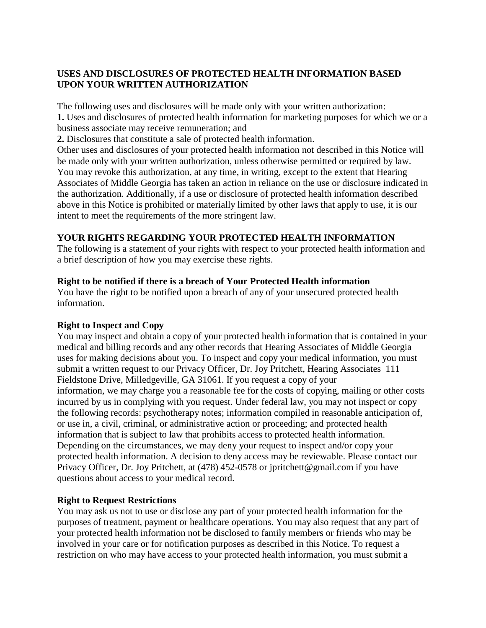# **USES AND DISCLOSURES OF PROTECTED HEALTH INFORMATION BASED UPON YOUR WRITTEN AUTHORIZATION**

The following uses and disclosures will be made only with your written authorization: **1.** Uses and disclosures of protected health information for marketing purposes for which we or a business associate may receive remuneration; and

**2.** Disclosures that constitute a sale of protected health information.

Other uses and disclosures of your protected health information not described in this Notice will be made only with your written authorization, unless otherwise permitted or required by law. You may revoke this authorization, at any time, in writing, except to the extent that Hearing Associates of Middle Georgia has taken an action in reliance on the use or disclosure indicated in the authorization. Additionally, if a use or disclosure of protected health information described above in this Notice is prohibited or materially limited by other laws that apply to use, it is our intent to meet the requirements of the more stringent law.

# **YOUR RIGHTS REGARDING YOUR PROTECTED HEALTH INFORMATION**

The following is a statement of your rights with respect to your protected health information and a brief description of how you may exercise these rights.

# **Right to be notified if there is a breach of Your Protected Health information**

You have the right to be notified upon a breach of any of your unsecured protected health information.

# **Right to Inspect and Copy**

You may inspect and obtain a copy of your protected health information that is contained in your medical and billing records and any other records that Hearing Associates of Middle Georgia uses for making decisions about you. To inspect and copy your medical information, you must submit a written request to our Privacy Officer, Dr. Joy Pritchett, Hearing Associates 111 Fieldstone Drive, Milledgeville, GA 31061. If you request a copy of your information, we may charge you a reasonable fee for the costs of copying, mailing or other costs incurred by us in complying with you request. Under federal law, you may not inspect or copy the following records: psychotherapy notes; information compiled in reasonable anticipation of, or use in, a civil, criminal, or administrative action or proceeding; and protected health information that is subject to law that prohibits access to protected health information. Depending on the circumstances, we may deny your request to inspect and/or copy your protected health information. A decision to deny access may be reviewable. Please contact our Privacy Officer, Dr. Joy Pritchett, at (478) 452-0578 or jpritchett@gmail.com if you have questions about access to your medical record.

# **Right to Request Restrictions**

You may ask us not to use or disclose any part of your protected health information for the purposes of treatment, payment or healthcare operations. You may also request that any part of your protected health information not be disclosed to family members or friends who may be involved in your care or for notification purposes as described in this Notice. To request a restriction on who may have access to your protected health information, you must submit a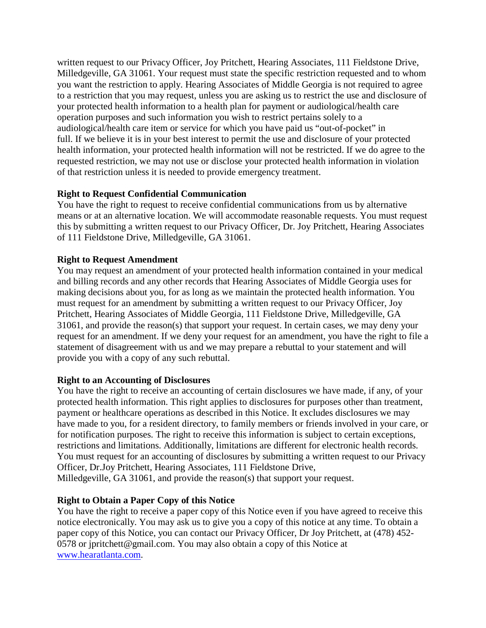written request to our Privacy Officer, Joy Pritchett, Hearing Associates, 111 Fieldstone Drive, Milledgeville, GA 31061. Your request must state the specific restriction requested and to whom you want the restriction to apply. Hearing Associates of Middle Georgia is not required to agree to a restriction that you may request, unless you are asking us to restrict the use and disclosure of your protected health information to a health plan for payment or audiological/health care operation purposes and such information you wish to restrict pertains solely to a audiological/health care item or service for which you have paid us "out-of-pocket" in full. If we believe it is in your best interest to permit the use and disclosure of your protected health information, your protected health information will not be restricted. If we do agree to the requested restriction, we may not use or disclose your protected health information in violation of that restriction unless it is needed to provide emergency treatment.

# **Right to Request Confidential Communication**

You have the right to request to receive confidential communications from us by alternative means or at an alternative location. We will accommodate reasonable requests. You must request this by submitting a written request to our Privacy Officer, Dr. Joy Pritchett, Hearing Associates of 111 Fieldstone Drive, Milledgeville, GA 31061.

# **Right to Request Amendment**

You may request an amendment of your protected health information contained in your medical and billing records and any other records that Hearing Associates of Middle Georgia uses for making decisions about you, for as long as we maintain the protected health information. You must request for an amendment by submitting a written request to our Privacy Officer, Joy Pritchett, Hearing Associates of Middle Georgia, 111 Fieldstone Drive, Milledgeville, GA 31061, and provide the reason(s) that support your request. In certain cases, we may deny your request for an amendment. If we deny your request for an amendment, you have the right to file a statement of disagreement with us and we may prepare a rebuttal to your statement and will provide you with a copy of any such rebuttal.

# **Right to an Accounting of Disclosures**

You have the right to receive an accounting of certain disclosures we have made, if any, of your protected health information. This right applies to disclosures for purposes other than treatment, payment or healthcare operations as described in this Notice. It excludes disclosures we may have made to you, for a resident directory, to family members or friends involved in your care, or for notification purposes. The right to receive this information is subject to certain exceptions, restrictions and limitations. Additionally, limitations are different for electronic health records. You must request for an accounting of disclosures by submitting a written request to our Privacy Officer, Dr.Joy Pritchett, Hearing Associates, 111 Fieldstone Drive, Milledgeville, GA 31061, and provide the reason(s) that support your request.

# **Right to Obtain a Paper Copy of this Notice**

You have the right to receive a paper copy of this Notice even if you have agreed to receive this notice electronically. You may ask us to give you a copy of this notice at any time. To obtain a paper copy of this Notice, you can contact our Privacy Officer, Dr Joy Pritchett, at (478) 452- 0578 or jpritchett@gmail.com. You may also obtain a copy of this Notice at [www.hearatlanta.com.](http://www.hearatlanta.com/)